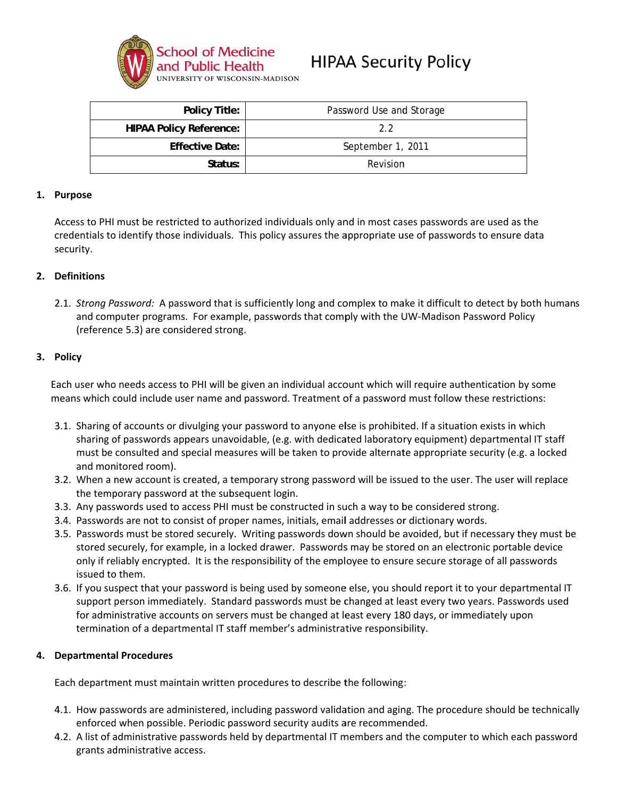

| Policy Title:                  | Password Use and Storage |
|--------------------------------|--------------------------|
| <b>HIPAA Policy Reference:</b> | 22                       |
| <b>Effective Date:</b>         | September 1, 2011        |
| Status:                        | Revision                 |

### 1. Purpose

Access to PHI must be restricted to authorized individuals only and in most cases passwords are used as the credentials to identify those individuals. This policy assures the appropriate use of passwords to ensure data security.

## 2. Definitions

2.1. Strong Password: A password that is sufficiently long and complex to make it difficult to detect by both humans and computer programs. For example, passwords that comply with the UW-Madison Password Policy (reference 5.3) are considered strong.

### 3. Policy

Each user who needs access to PHI will be given an individual account which will require authentication by some means which could include user name and password. Treatment of a password must follow these restrictions:

- 3.1. Sharing of accounts or divulging your password to anyone else is prohibited. If a situation exists in which sharing of passwords appears unavoidable, (e.g. with dedicated laboratory equipment) departmental IT staff must be consulted and special measures will be taken to provide alternate appropriate security (e.g. a locked and monitored room).
- 3.2. When a new account is created, a temporary strong password will be issued to the user. The user will replace the temporary password at the subsequent login.
- 3.3. Any passwords used to access PHI must be constructed in such a way to be considered strong.
- 3.4. Passwords are not to consist of proper names, initials, email addresses or dictionary words.
- 3.5. Passwords must be stored securely. Writing passwords down should be avoided, but if necessary they must be stored securely, for example, in a locked drawer. Passwords may be stored on an electronic portable device only if reliably encrypted. It is the responsibility of the employee to ensure secure storage of all passwords issued to them.
- 3.6. If you suspect that your password is being used by someone else, you should report it to your departmental IT support person immediately. Standard passwords must be changed at least every two years. Passwords used for administrative accounts on servers must be changed at least every 180 days, or immediately upon termination of a departmental IT staff member's administrative responsibility.

#### 4. **Departmental Procedures**

Each department must maintain written procedures to describe the following:

- 4.1. How passwords are administered, including password validation and aging. The procedure should be technically enforced when possible. Periodic password security audits are recommended.
- 4.2. A list of administrative passwords held by departmental IT members and the computer to which each password grants administrative access.